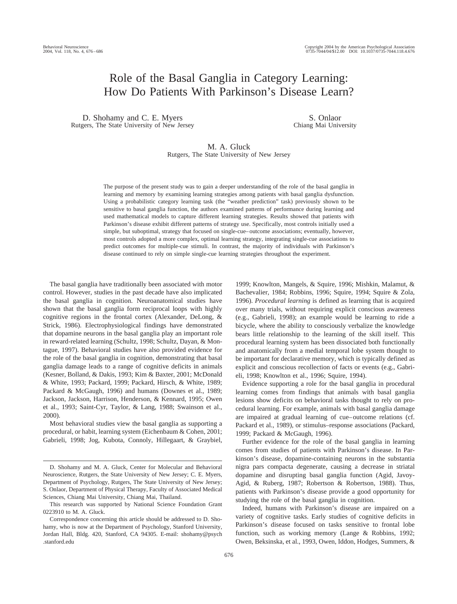# Role of the Basal Ganglia in Category Learning: How Do Patients With Parkinson's Disease Learn?

D. Shohamy and C. E. Myers Rutgers, The State University of New Jersey

S. Onlaor Chiang Mai University

# M. A. Gluck Rutgers, The State University of New Jersey

The purpose of the present study was to gain a deeper understanding of the role of the basal ganglia in learning and memory by examining learning strategies among patients with basal ganglia dysfunction. Using a probabilistic category learning task (the "weather prediction" task) previously shown to be sensitive to basal ganglia function, the authors examined patterns of performance during learning and used mathematical models to capture different learning strategies. Results showed that patients with Parkinson's disease exhibit different patterns of strategy use. Specifically, most controls initially used a simple, but suboptimal, strategy that focused on single-cue–outcome associations; eventually, however, most controls adopted a more complex, optimal learning strategy, integrating single-cue associations to predict outcomes for multiple-cue stimuli. In contrast, the majority of individuals with Parkinson's disease continued to rely on simple single-cue learning strategies throughout the experiment.

The basal ganglia have traditionally been associated with motor control. However, studies in the past decade have also implicated the basal ganglia in cognition. Neuroanatomical studies have shown that the basal ganglia form reciprocal loops with highly cognitive regions in the frontal cortex (Alexander, DeLong, & Strick, 1986). Electrophysiological findings have demonstrated that dopamine neurons in the basal ganglia play an important role in reward-related learning (Schultz, 1998; Schultz, Dayan, & Montague, 1997). Behavioral studies have also provided evidence for the role of the basal ganglia in cognition, demonstrating that basal ganglia damage leads to a range of cognitive deficits in animals (Kesner, Bolland, & Dakis, 1993; Kim & Baxter, 2001; McDonald & White, 1993; Packard, 1999; Packard, Hirsch, & White, 1989; Packard & McGaugh, 1996) and humans (Downes et al., 1989; Jackson, Jackson, Harrison, Henderson, & Kennard, 1995; Owen et al., 1993; Saint-Cyr, Taylor, & Lang, 1988; Swainson et al., 2000).

Most behavioral studies view the basal ganglia as supporting a procedural, or habit, learning system (Eichenbaum & Cohen, 2001; Gabrieli, 1998; Jog, Kubota, Connoly, Hillegaart, & Graybiel, 1999; Knowlton, Mangels, & Squire, 1996; Mishkin, Malamut, & Bachevalier, 1984; Robbins, 1996; Squire, 1994; Squire & Zola, 1996). *Procedural learning* is defined as learning that is acquired over many trials, without requiring explicit conscious awareness (e.g., Gabrieli, 1998); an example would be learning to ride a bicycle, where the ability to consciously verbalize the knowledge bears little relationship to the learning of the skill itself. This procedural learning system has been dissociated both functionally and anatomically from a medial temporal lobe system thought to be important for declarative memory, which is typically defined as explicit and conscious recollection of facts or events (e.g., Gabrieli, 1998; Knowlton et al., 1996; Squire, 1994).

Evidence supporting a role for the basal ganglia in procedural learning comes from findings that animals with basal ganglia lesions show deficits on behavioral tasks thought to rely on procedural learning. For example, animals with basal ganglia damage are impaired at gradual learning of cue–outcome relations (cf. Packard et al., 1989), or stimulus–response associations (Packard, 1999; Packard & McGaugh, 1996).

Further evidence for the role of the basal ganglia in learning comes from studies of patients with Parkinson's disease. In Parkinson's disease, dopamine-containing neurons in the substantia nigra pars compacta degenerate, causing a decrease in striatal dopamine and disrupting basal ganglia function (Agid, Javoy-Agid, & Ruberg, 1987; Robertson & Robertson, 1988). Thus, patients with Parkinson's disease provide a good opportunity for studying the role of the basal ganglia in cognition.

Indeed, humans with Parkinson's disease are impaired on a variety of cognitive tasks. Early studies of cognitive deficits in Parkinson's disease focused on tasks sensitive to frontal lobe function, such as working memory (Lange & Robbins, 1992; Owen, Beksinska, et al., 1993, Owen, Iddon, Hodges, Summers, &

D. Shohamy and M. A. Gluck, Center for Molecular and Behavioral Neuroscience, Rutgers, the State University of New Jersey; C. E. Myers, Department of Psychology, Rutgers, The State University of New Jersey; S. Onlaor, Department of Physical Therapy, Faculty of Associated Medical Sciences, Chiang Mai University, Chiang Mai, Thailand.

This research was supported by National Science Foundation Grant 0223910 to M. A. Gluck.

Correspondence concerning this article should be addressed to D. Shohamy, who is now at the Department of Psychology, Stanford University, Jordan Hall, Bldg. 420, Stanford, CA 94305. E-mail: shohamy@psych .stanford.edu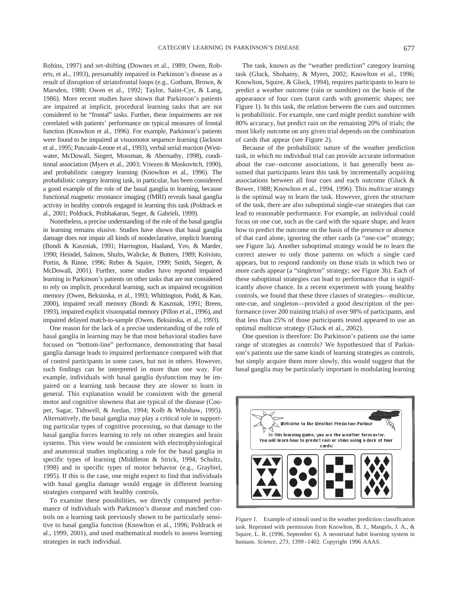Robins, 1997) and set-shifting (Downes et al., 1989; Owen, Roberts, et al., 1993), presumably impaired in Parkinson's disease as a result of disruption of striatofrontal loops (e.g., Gotham, Brown, & Marsden, 1988; Owen et al., 1992; Taylor, Saint-Cyr, & Lang, 1986). More recent studies have shown that Parkinson's patients are impaired at implicit, procedural learning tasks that are not considered to be "frontal" tasks. Further, these impairments are not correlated with patients' performance on typical measures of frontal function (Knowlton et al., 1996). For example, Parkinson's patients were found to be impaired at visuomotor sequence learning (Jackson et al., 1995; Pascuale-Leone et al., 1993), verbal serial reaction (Westwater, McDowall, Siegert, Mossman, & Abernathy, 1998), conditional association (Myers et al., 2003; Vriezen & Moskovitch, 1990), and probabilistic category learning (Knowlton et al., 1996). The probabilistic category learning task, in particular, has been considered a good example of the role of the basal ganglia in learning, because functional magnetic resonance imaging (fMRI) reveals basal ganglia activity in healthy controls engaged in learning this task (Poldrack et al., 2001; Poldrack, Prabhakaran, Seger, & Gabrieli, 1999).

Nonetheless, a precise understanding of the role of the basal ganglia in learning remains elusive. Studies have shown that basal ganglia damage does not impair all kinds of nondeclarative, implicit learning (Bondi & Kaszniak, 1991; Harrington, Haaland, Yeo, & Marder, 1990; Heindel, Salmon, Shults, Walicke, & Butters, 1989; Koivisto, Portin, & Rinne, 1996; Reber & Squire, 1999; Smith, Siegert, & McDowall, 2001). Further, some studies have reported impaired learning in Parkinson's patients on other tasks that are not considered to rely on implicit, procedural learning, such as impaired recognition memory (Owen, Beksinska, et al., 1993; Whittington, Podd, & Kan, 2000), impaired recall memory (Bondi & Kaszniak, 1991; Breen, 1993), impaired explicit visuospatial memory (Pillon et al., 1996), and impaired delayed match-to-sample (Owen, Beksinska, et al., 1993).

One reason for the lack of a precise understanding of the role of basal ganglia in learning may be that most behavioral studies have focused on "bottom-line" performance, demonstrating that basal ganglia damage leads to impaired performance compared with that of control participants in some cases, but not in others. However, such findings can be interpreted in more than one way. For example, individuals with basal ganglia dysfunction may be impaired on a learning task because they are slower to learn in general. This explanation would be consistent with the general motor and cognitive slowness that are typical of the disease (Cooper, Sagar, Tidswell, & Jordan, 1994; Kolb & Whishaw, 1995). Alternatively, the basal ganglia may play a critical role in supporting particular types of cognitive processing, so that damage to the basal ganglia forces learning to rely on other strategies and brain systems. This view would be consistent with electrophysiological and anatomical studies implicating a role for the basal ganglia in specific types of learning (Middleton & Strick, 1994; Schultz, 1998) and in specific types of motor behavior (e.g., Graybiel, 1995). If this is the case, one might expect to find that individuals with basal ganglia damage would engage in different learning strategies compared with healthy controls.

To examine these possibilities, we directly compared performance of individuals with Parkinson's disease and matched controls on a learning task previously shown to be particularly sensitive to basal ganglia function (Knowlton et al., 1996; Poldrack et al., 1999, 2001), and used mathematical models to assess learning strategies in each individual.

The task, known as the "weather prediction" category learning task (Gluck, Shohamy, & Myers, 2002; Knowlton et al., 1996; Knowlton, Squire, & Gluck, 1994), requires participants to learn to predict a weather outcome (rain or sunshine) on the basis of the appearance of four cues (tarot cards with geometric shapes; see Figure 1). In this task, the relation between the cues and outcomes is probabilistic. For example, one card might predict sunshine with 80% accuracy, but predict rain on the remaining 20% of trials; the most likely outcome on any given trial depends on the combination of cards that appear (see Figure 2).

Because of the probabilistic nature of the weather prediction task, in which no individual trial can provide accurate information about the cue–outcome associations, it has generally been assumed that participants learn this task by incrementally acquiring associations between all four cues and each outcome (Gluck & Bower, 1988; Knowlton et al., 1994, 1996). This *multicue* strategy is the optimal way to learn the task. However, given the structure of the task, there are also suboptimal single-cue strategies that can lead to reasonable performance. For example, an individual could focus on one cue, such as the card with the square shape, and learn how to predict the outcome on the basis of the presence or absence of that card alone, ignoring the other cards (a "one-cue" strategy; see Figure 3a). Another suboptimal strategy would be to learn the correct answer to only those patterns on which a single card appears, but to respond randomly on those trials in which two or more cards appear (a "singleton" strategy; see Figure 3b). Each of these suboptimal strategies can lead to performance that is significantly above chance. In a recent experiment with young healthy controls, we found that these three classes of strategies—multicue, one-cue, and singleton—provided a good description of the performance (over 200 training trials) of over 98% of participants, and that less than 25% of those participants tested appeared to use an optimal multicue strategy (Gluck et al., 2002).

One question is therefore: Do Parkinson's patients use the same range of strategies as controls? We hypothesized that if Parkinson's patients use the same kinds of learning strategies as controls, but simply acquire them more slowly, this would suggest that the basal ganglia may be particularly important in modulating learning



*Figure 1.* Example of stimuli used in the weather prediction classification task. Reprinted with permission from Knowlton, B. J., Mangels, J. A., & Squire, L. R. (1996, September 6). A neostriatal habit learning system in humans. *Science, 273,* 1399–1402. Copyright 1996 AAAS.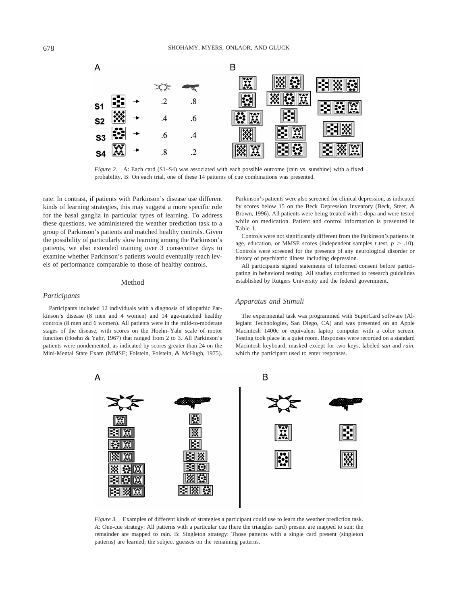

*Figure 2.* A: Each card (S1–S4) was associated with each possible outcome (rain vs. sunshine) with a fixed probability. B: On each trial, one of these 14 patterns of cue combinations was presented.

rate. In contrast, if patients with Parkinson's disease use different kinds of learning strategies, this may suggest a more specific role for the basal ganglia in particular types of learning. To address these questions, we administered the weather prediction task to a group of Parkinson's patients and matched healthy controls. Given the possibility of particularly slow learning among the Parkinson's patients, we also extended training over 3 consecutive days to examine whether Parkinson's patients would eventually reach levels of performance comparable to those of healthy controls.

# Method

#### *Participants*

Participants included 12 individuals with a diagnosis of idiopathic Parkinson's disease (8 men and 4 women) and 14 age-matched healthy controls (8 men and 6 women). All patients were in the mild-to-moderate stages of the disease, with scores on the Hoehn–Yahr scale of motor function (Hoehn & Yahr, 1967) that ranged from 2 to 3. All Parkinson's patients were nondemented, as indicated by scores greater than 24 on the Mini-Mental State Exam (MMSE; Folstein, Folstein, & McHugh, 1975).

Parkinson's patients were also screened for clinical depression, as indicated by scores below 15 on the Beck Depression Inventory (Beck, Steer, & Brown, 1996). All patients were being treated with L-dopa and were tested while on medication. Patient and control information is presented in Table 1.

Controls were not significantly different from the Parkinson's patients in age, education, or MMSE scores (independent samples  $t$  test,  $p > .10$ ). Controls were screened for the presence of any neurological disorder or history of psychiatric illness including depression.

All participants signed statements of informed consent before participating in behavioral testing. All studies conformed to research guidelines established by Rutgers University and the federal government.

# *Apparatus and Stimuli*

The experimental task was programmed with SuperCard software (Allegiant Technologies, San Diego, CA) and was presented on an Apple Macintosh 1400c or equivalent laptop computer with a color screen. Testing took place in a quiet room. Responses were recorded on a standard Macintosh keyboard, masked except for two keys, labeled *sun* and *rain*, which the participant used to enter responses.



*Figure 3.* Examples of different kinds of strategies a participant could use to learn the weather prediction task. A: One-cue strategy: All patterns with a particular cue (here the triangles card) present are mapped to sun; the remainder are mapped to rain. B: Singleton strategy: Those patterns with a single card present (singleton patterns) are learned; the subject guesses on the remaining patterns.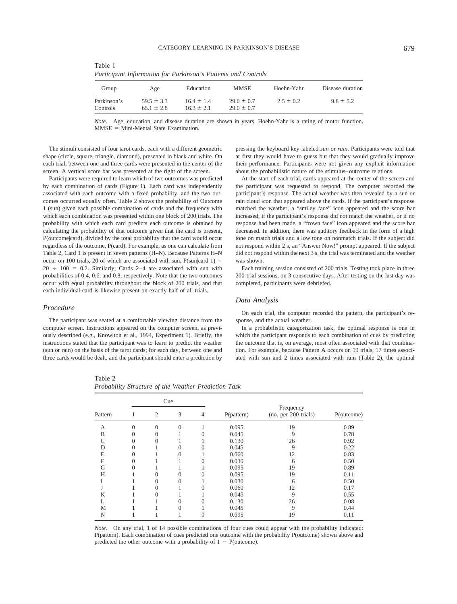| Group                   | Age                              | Education                        | <b>MMSE</b>                      | Hoehn-Yahr    | Disease duration |
|-------------------------|----------------------------------|----------------------------------|----------------------------------|---------------|------------------|
| Parkinson's<br>Controls | $59.5 \pm 3.3$<br>$65.1 \pm 2.8$ | $16.4 \pm 1.4$<br>$16.3 \pm 2.1$ | $29.0 \pm 0.7$<br>$29.0 \pm 0.7$ | $2.5 \pm 0.2$ | $9.8 + 5.2$      |

Table 1 *Participant Information for Parkinson's Patients and Controls*

*Note.* Age, education, and disease duration are shown in years. Hoehn-Yahr is a rating of motor function. MMSE = Mini-Mental State Examination.

The stimuli consisted of four tarot cards, each with a different geometric shape (circle, square, triangle, diamond), presented in black and white. On each trial, between one and three cards were presented in the center of the screen. A vertical score bar was presented at the right of the screen.

Participants were required to learn which of two outcomes was predicted by each combination of cards (Figure 1). Each card was independently associated with each outcome with a fixed probability, and the two outcomes occurred equally often. Table 2 shows the probability of Outcome 1 (sun) given each possible combination of cards and the frequency with which each combination was presented within one block of 200 trials. The probability with which each card predicts each outcome is obtained by calculating the probability of that outcome given that the card is present, P(outcome|card), divided by the total probability that the card would occur regardless of the outcome, P(card). For example, as one can calculate from Table 2, Card 1 is present in seven patterns (H–N). Because Patterns H–N occur on 100 trials, 20 of which are associated with sun,  $P(\text{sun}| \text{card } 1)$  =  $20 \div 100 = 0.2$ . Similarly, Cards 2-4 are associated with sun with probabilities of 0.4, 0.6, and 0.8, respectively. Note that the two outcomes occur with equal probability throughout the block of 200 trials, and that each individual card is likewise present on exactly half of all trials.

#### *Procedure*

The participant was seated at a comfortable viewing distance from the computer screen. Instructions appeared on the computer screen, as previously described (e.g., Knowlton et al., 1994, Experiment 1). Briefly, the instructions stated that the participant was to learn to predict the weather (sun or rain) on the basis of the tarot cards; for each day, between one and three cards would be dealt, and the participant should enter a prediction by pressing the keyboard key labeled *sun* or *rain*. Participants were told that at first they would have to guess but that they would gradually improve their performance. Participants were not given any explicit information about the probabilistic nature of the stimulus–outcome relations.

At the start of each trial, cards appeared at the center of the screen and the participant was requested to respond. The computer recorded the participant's response. The actual weather was then revealed by a sun or rain cloud icon that appeared above the cards. If the participant's response matched the weather, a "smiley face" icon appeared and the score bar increased; if the participant's response did not match the weather, or if no response had been made, a "frown face" icon appeared and the score bar decreased. In addition, there was auditory feedback in the form of a high tone on match trials and a low tone on nonmatch trials. If the subject did not respond within 2 s, an "Answer Now!" prompt appeared. If the subject did not respond within the next 3 s, the trial was terminated and the weather was shown.

Each training session consisted of 200 trials. Testing took place in three 200-trial sessions, on 3 consecutive days. After testing on the last day was completed, participants were debriefed.

# *Data Analysis*

On each trial, the computer recorded the pattern, the participant's response, and the actual weather.

In a probabilistic categorization task, the optimal response is one in which the participant responds to each combination of cues by predicting the outcome that is, on average, most often associated with that combination. For example, because Pattern A occurs on 19 trials, 17 times associated with sun and 2 times associated with rain (Table 2), the optimal

| Pattern | Cue |          |          |   |               |                                   |            |
|---------|-----|----------|----------|---|---------------|-----------------------------------|------------|
|         |     |          | 3        | 4 | $P$ (pattern) | Frequency<br>(no. per 200 trials) | P(outcome) |
| А       |     |          | $\Omega$ |   | 0.095         | 19                                | 0.89       |
| B       | 0   |          |          |   | 0.045         |                                   | 0.78       |
| ⌒       | 0   | $\theta$ |          |   | 0.130         | 26                                | 0.92       |
| D       | 0   |          | 0        | 0 | 0.045         | Q                                 | 0.22       |
| E       |     |          | $\Omega$ |   | 0.060         | 12                                | 0.83       |
| E       |     |          |          |   | 0.030         | 6                                 | 0.50       |

Table 2 *Probability Structure of the Weather Prediction Task*

*Note.* On any trial, 1 of 14 possible combinations of four cues could appear with the probability indicated: P(pattern). Each combination of cues predicted one outcome with the probability P(outcome) shown above and predicted the other outcome with a probability of  $1 - P$ (outcome).

G 0 1 1 1 0.095 19 0.89 H 1 0 0 0 0.095 19 0.11 I 1 0 0 1 0.030 6 0.50 J 1 0 1 0 0.060 12 0.17 K 1 0 1 1 0.045 9 0.55 L 1 1 0 0 0.130 26 0.08 M 1 1 0 1 0.045 9 0.44 N 1 1 1 0 0.095 19 0.11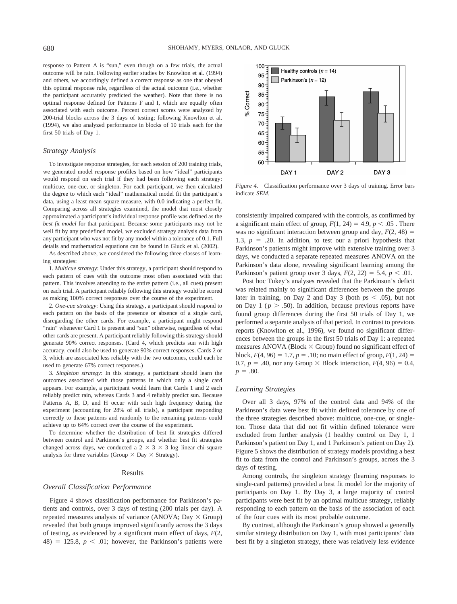response to Pattern A is "sun," even though on a few trials, the actual outcome will be rain. Following earlier studies by Knowlton et al. (1994) and others, we accordingly defined a correct response as one that obeyed this optimal response rule, regardless of the actual outcome (i.e., whether the participant accurately predicted the weather). Note that there is no optimal response defined for Patterns F and I, which are equally often associated with each outcome. Percent correct scores were analyzed by 200-trial blocks across the 3 days of testing; following Knowlton et al. (1994), we also analyzed performance in blocks of 10 trials each for the first 50 trials of Day 1.

# *Strategy Analysis*

To investigate response strategies, for each session of 200 training trials, we generated model response profiles based on how "ideal" participants would respond on each trial if they had been following each strategy: multicue, one-cue, or singleton. For each participant, we then calculated the degree to which each "ideal" mathematical model fit the participant's data, using a least mean square measure, with 0.0 indicating a perfect fit. Comparing across all strategies examined, the model that most closely approximated a participant's individual response profile was defined as the *best fit model* for that participant. Because some participants may not be well fit by any predefined model, we excluded strategy analysis data from any participant who was not fit by any model within a tolerance of 0.1. Full details and mathematical equations can be found in Gluck et al. (2002).

As described above, we considered the following three classes of learning strategies:

1. *Multicue strategy*: Under this strategy, a participant should respond to each pattern of cues with the outcome most often associated with that pattern. This involves attending to the entire pattern (i.e., all cues) present on each trial. A participant reliably following this strategy would be scored as making 100% correct responses over the course of the experiment.

2. *One-cue strategy*: Using this strategy, a participant should respond to each pattern on the basis of the presence or absence of a single card, disregarding the other cards. For example, a participant might respond "rain" whenever Card 1 is present and "sun" otherwise, regardless of what other cards are present. A participant reliably following this strategy should generate 90% correct responses. (Card 4, which predicts sun with high accuracy, could also be used to generate 90% correct responses. Cards 2 or 3, which are associated less reliably with the two outcomes, could each be used to generate 67% correct responses.)

3. *Singleton strategy*: In this strategy, a participant should learn the outcomes associated with those patterns in which only a single card appears. For example, a participant would learn that Cards 1 and 2 each reliably predict rain, whereas Cards 3 and 4 reliably predict sun. Because Patterns A, B, D, and H occur with such high frequency during the experiment (accounting for 28% of all trials), a participant responding correctly to these patterns and randomly to the remaining patterns could achieve up to 64% correct over the course of the experiment.

To determine whether the distribution of best fit strategies differed between control and Parkinson's groups, and whether best fit strategies changed across days, we conducted a  $2 \times 3 \times 3$  log–linear chi-square analysis for three variables (Group  $\times$  Day  $\times$  Strategy).

### Results

# *Overall Classification Performance*

Figure 4 shows classification performance for Parkinson's patients and controls, over 3 days of testing (200 trials per day). A repeated measures analysis of variance (ANOVA; Day  $\times$  Group) revealed that both groups improved significantly across the 3 days of testing, as evidenced by a significant main effect of days, *F*(2,  $(48) = 125.8, p < .01$ ; however, the Parkinson's patients were



*Figure 4.* Classification performance over 3 days of training. Error bars indicate *SEM*.

consistently impaired compared with the controls, as confirmed by a significant main effect of group,  $F(1, 24) = 4.9$ ,  $p < .05$ . There was no significant interaction between group and day,  $F(2, 48) =$ 1.3,  $p = 0.20$ . In addition, to test our a priori hypothesis that Parkinson's patients might improve with extensive training over 3 days, we conducted a separate repeated measures ANOVA on the Parkinson's data alone, revealing significant learning among the Parkinson's patient group over 3 days,  $F(2, 22) = 5.4$ ,  $p < .01$ .

Post hoc Tukey's analyses revealed that the Parkinson's deficit was related mainly to significant differences between the groups later in training, on Day 2 and Day 3 (both  $ps < .05$ ), but not on Day 1 ( $p > .50$ ). In addition, because previous reports have found group differences during the first 50 trials of Day 1, we performed a separate analysis of that period. In contrast to previous reports (Knowlton et al., 1996), we found no significant differences between the groups in the first 50 trials of Day 1: a repeated measures ANOVA (Block  $\times$  Group) found no significant effect of block,  $F(4, 96) = 1.7$ ,  $p = .10$ ; no main effect of group,  $F(1, 24) =$ 0.7,  $p = .40$ , nor any Group  $\times$  Block interaction,  $F(4, 96) = 0.4$ ,  $p = .80$ .

# *Learning Strategies*

Over all 3 days, 97% of the control data and 94% of the Parkinson's data were best fit within defined tolerance by one of the three strategies described above: multicue, one-cue, or singleton. Those data that did not fit within defined tolerance were excluded from further analysis (1 healthy control on Day 1, 1 Parkinson's patient on Day 1, and 1 Parkinson's patient on Day 2). Figure 5 shows the distribution of strategy models providing a best fit to data from the control and Parkinson's groups, across the 3 days of testing.

Among controls, the singleton strategy (learning responses to single-card patterns) provided a best fit model for the majority of participants on Day 1. By Day 3, a large majority of control participants were best fit by an optimal multicue strategy, reliably responding to each pattern on the basis of the association of each of the four cues with its most probable outcome.

By contrast, although the Parkinson's group showed a generally similar strategy distribution on Day 1, with most participants' data best fit by a singleton strategy, there was relatively less evidence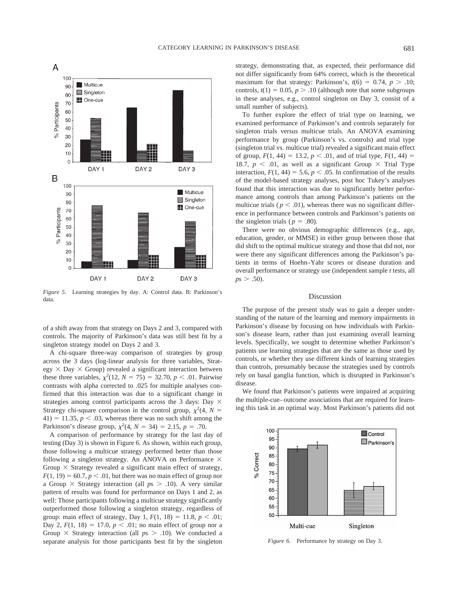

*Figure 5.* Learning strategies by day. A: Control data. B: Parkinson's data.

of a shift away from that strategy on Days 2 and 3, compared with controls. The majority of Parkinson's data was still best fit by a singleton strategy model on Days 2 and 3.

A chi-square three-way comparison of strategies by group across the 3 days (log-linear analysis for three variables, Strategy  $\times$  Day  $\times$  Group) revealed a significant interaction between these three variables,  $\chi^2(12, N = 75) = 32.70, p < .01$ . Pairwise contrasts with alpha corrected to .025 for multiple analyses confirmed that this interaction was due to a significant change in strategies among control participants across the 3 days: Day  $\times$ Strategy chi-square comparison in the control group,  $\chi^2(4, N =$  $41$ ) = 11.35,  $p < .03$ , whereas there was no such shift among the Parkinson's disease group,  $\chi^2(4, N = 34) = 2.15, p = .70$ .

A comparison of performance by strategy for the last day of testing (Day 3) is shown in Figure 6. As shown, within each group, those following a multicue strategy performed better than those following a singleton strategy. An ANOVA on Performance  $\times$ Group  $\times$  Strategy revealed a significant main effect of strategy,  $F(1, 19) = 60.7, p < .01$ , but there was no main effect of group nor a Group  $\times$  Strategy interaction (all  $ps > .10$ ). A very similar pattern of results was found for performance on Days 1 and 2, as well: Those participants following a multicue strategy significantly outperformed those following a singleton strategy, regardless of group: main effect of strategy, Day 1,  $F(1, 18) = 11.8, p < .01;$ Day 2,  $F(1, 18) = 17.0, p < .01$ ; no main effect of group nor a Group  $\times$  Strategy interaction (all  $ps > .10$ ). We conducted a separate analysis for those participants best fit by the singleton strategy, demonstrating that, as expected, their performance did not differ significantly from 64% correct, which is the theoretical maximum for that strategy: Parkinson's,  $t(6) = 0.74$ ,  $p > .10$ ; controls,  $t(1) = 0.05$ ,  $p > 0.10$  (although note that some subgroups in these analyses, e.g., control singleton on Day 3, consist of a small number of subjects).

To further explore the effect of trial type on learning, we examined performance of Parkinson's and controls separately for singleton trials versus multicue trials. An ANOVA examining performance by group (Parkinson's vs. controls) and trial type (singleton trial vs. multicue trial) revealed a significant main effect of group,  $F(1, 44) = 13.2, p < .01$ , and of trial type,  $F(1, 44) =$ 18.7,  $p \leq 0.01$ , as well as a significant Group  $\times$  Trial Type interaction,  $F(1, 44) = 5.6, p < .05$ . In confirmation of the results of the model-based strategy analyses, post hoc Tukey's analyses found that this interaction was due to significantly better performance among controls than among Parkinson's patients on the multicue trials ( $p < .01$ ), whereas there was no significant difference in performance between controls and Parkinson's patients on the singleton trials ( $p = .80$ ).

There were no obvious demographic differences (e.g., age, education, gender, or MMSE) in either group between those that did shift to the optimal multicue strategy and those that did not, nor were there any significant differences among the Parkinson's patients in terms of Hoehn–Yahr scores or disease duration and overall performance or strategy use (independent sample *t* tests, all  $ps > .50$ ).

# Discussion

The purpose of the present study was to gain a deeper understanding of the nature of the learning and memory impairments in Parkinson's disease by focusing on how individuals with Parkinson's disease learn, rather than just examining overall learning levels. Specifically, we sought to determine whether Parkinson's patients use learning strategies that are the same as those used by controls, or whether they use different kinds of learning strategies than controls, presumably because the strategies used by controls rely on basal ganglia function, which is disrupted in Parkinson's disease.

We found that Parkinson's patients were impaired at acquiring the multiple-cue–outcome associations that are required for learning this task in an optimal way. Most Parkinson's patients did not



*Figure 6.* Performance by strategy on Day 3.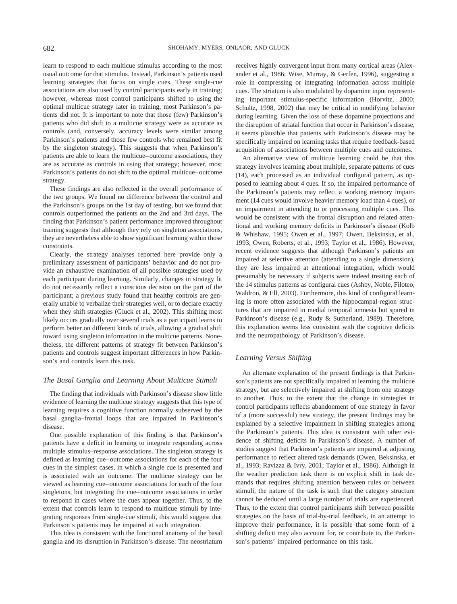learn to respond to each multicue stimulus according to the most usual outcome for that stimulus. Instead, Parkinson's patients used learning strategies that focus on single cues. These single-cue associations are also used by control participants early in training; however, whereas most control participants shifted to using the optimal multicue strategy later in training, most Parkinson's patients did not. It is important to note that those (few) Parkinson's patients who did shift to a multicue strategy were as accurate as controls (and, conversely, accuracy levels were similar among Parkinson's patients and those few controls who remained best fit by the singleton strategy). This suggests that when Parkinson's patients are able to learn the multicue–outcome associations, they are as accurate as controls in using that strategy; however, most Parkinson's patients do not shift to the optimal multicue–outcome strategy.

These findings are also reflected in the overall performance of the two groups. We found no difference between the control and the Parkinson's groups on the 1st day of testing, but we found that controls outperformed the patients on the 2nd and 3rd days. The finding that Parkinson's patient performance improved throughout training suggests that although they rely on singleton associations, they are nevertheless able to show significant learning within those constraints.

Clearly, the strategy analyses reported here provide only a preliminary assessment of participants' behavior and do not provide an exhaustive examination of all possible strategies used by each participant during learning. Similarly, changes in strategy fit do not necessarily reflect a conscious decision on the part of the participant; a previous study found that healthy controls are generally unable to verbalize their strategies well, or to declare exactly when they shift strategies (Gluck et al., 2002). This shifting most likely occurs gradually over several trials as a participant learns to perform better on different kinds of trials, allowing a gradual shift toward using singleton information in the multicue patterns. Nonetheless, the different patterns of strategy fit between Parkinson's patients and controls suggest important differences in how Parkinson's and controls learn this task.

#### *The Basal Ganglia and Learning About Multicue Stimuli*

The finding that individuals with Parkinson's disease show little evidence of learning the multicue strategy suggests that this type of learning requires a cognitive function normally subserved by the basal ganglia–frontal loops that are impaired in Parkinson's disease.

One possible explanation of this finding is that Parkinson's patients have a deficit in learning to integrate responding across multiple stimulus–response associations. The singleton strategy is defined as learning cue–outcome associations for each of the four cues in the simplest cases, in which a single cue is presented and is associated with an outcome. The multicue strategy can be viewed as learning cue–outcome associations for each of the four singletons, but integrating the cue–outcome associations in order to respond in cases where the cues appear together. Thus, to the extent that controls learn to respond to multicue stimuli by integrating responses from single-cue stimuli, this would suggest that Parkinson's patients may be impaired at such integration.

This idea is consistent with the functional anatomy of the basal ganglia and its disruption in Parkinson's disease: The neostriatum receives highly convergent input from many cortical areas (Alexander et al., 1986; Wise, Murray, & Gerfen, 1996), suggesting a role in compressing or integrating information across multiple cues. The striatum is also modulated by dopamine input representing important stimulus-specific information (Horvitz, 2000; Schultz, 1998, 2002) that may be critical in modifying behavior during learning. Given the loss of these dopamine projections and the disruption of striatal function that occur in Parkinson's disease, it seems plausible that patients with Parkinson's disease may be specifically impaired on learning tasks that require feedback-based acquisition of associations between multiple cues and outcomes.

An alternative view of multicue learning could be that this strategy involves learning about multiple, separate patterns of cues (14), each processed as an individual configural pattern, as opposed to learning about 4 cues. If so, the impaired performance of the Parkinson's patients may reflect a working memory impairment (14 cues would involve heavier memory load than 4 cues), or an impairment in attending to or processing multiple cues. This would be consistent with the frontal disruption and related attentional and working memory deficits in Parkinson's disease (Kolb & Whishaw, 1995; Owen et al., 1997; Owen, Beksinska, et al., 1993; Owen, Roberts, et al., 1993; Taylor et al., 1986). However, recent evidence suggests that although Parkinson's patients are impaired at selective attention (attending to a single dimension), they are less impaired at attentional integration, which would presumably be necessary if subjects were indeed treating each of the 14 stimulus patterns as configural cues (Ashby, Noble, Filoteo, Waldron, & Ell, 2003). Furthermore, this kind of configural learning is more often associated with the hippocampal-region structures that are impaired in medial temporal amnesia but spared in Parkinson's disease (e.g., Rudy & Sutherland, 1989). Therefore, this explanation seems less consistent with the cognitive deficits and the neuropathology of Parkinson's disease.

# *Learning Versus Shifting*

An alternate explanation of the present findings is that Parkinson's patients are not specifically impaired at learning the multicue strategy, but are selectively impaired at shifting from one strategy to another. Thus, to the extent that the change in strategies in control participants reflects abandonment of one strategy in favor of a (more successful) new strategy, the present findings may be explained by a selective impairment in shifting strategies among the Parkinson's patients. This idea is consistent with other evidence of shifting deficits in Parkinson's disease. A number of studies suggest that Parkinson's patients are impaired at adjusting performance to reflect altered task demands (Owen, Beksinska, et al., 1993; Ravizza & Ivry, 2001; Taylor et al., 1986). Although in the weather prediction task there is no explicit shift in task demands that requires shifting attention between rules or between stimuli, the nature of the task is such that the category structure cannot be deduced until a large number of trials are experienced. Thus, to the extent that control participants shift between possible strategies on the basis of trial-by-trial feedback, in an attempt to improve their performance, it is possible that some form of a shifting deficit may also account for, or contribute to, the Parkinson's patients' impaired performance on this task.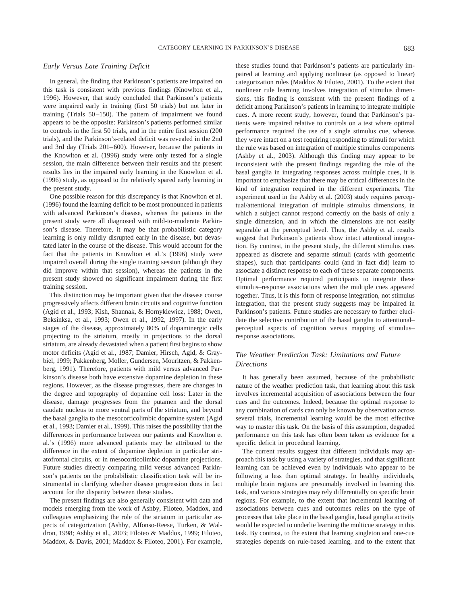# CATEGORY LEARNING IN PARKINSON'S DISEASE 683

# *Early Versus Late Training Deficit*

In general, the finding that Parkinson's patients are impaired on this task is consistent with previous findings (Knowlton et al., 1996). However, that study concluded that Parkinson's patients were impaired early in training (first 50 trials) but not later in training (Trials 50–150). The pattern of impairment we found appears to be the opposite: Parkinson's patients performed similar to controls in the first 50 trials, and in the entire first session (200 trials), and the Parkinson's-related deficit was revealed in the 2nd and 3rd day (Trials 201–600). However, because the patients in the Knowlton et al. (1996) study were only tested for a single session, the main difference between their results and the present results lies in the impaired early learning in the Knowlton et al. (1996) study, as opposed to the relatively spared early learning in the present study.

One possible reason for this discrepancy is that Knowlton et al. (1996) found the learning deficit to be most pronounced in patients with advanced Parkinson's disease, whereas the patients in the present study were all diagnosed with mild-to-moderate Parkinson's disease. Therefore, it may be that probabilistic category learning is only mildly disrupted early in the disease, but devastated later in the course of the disease. This would account for the fact that the patients in Knowlton et al.'s (1996) study were impaired overall during the single training session (although they did improve within that session), whereas the patients in the present study showed no significant impairment during the first training session.

This distinction may be important given that the disease course progressively affects different brain circuits and cognitive function (Agid et al., 1993; Kish, Shannak, & Hornykiewicz, 1988; Owen, Beksinksa, et al., 1993; Owen et al., 1992, 1997). In the early stages of the disease, approximately 80% of dopaminergic cells projecting to the striatum, mostly in projections to the dorsal striatum, are already devastated when a patient first begins to show motor deficits (Agid et al., 1987; Damier, Hirsch, Agid, & Graybiel, 1999; Pakkenberg, Moller, Gundersen, Mouritzen, & Pakkenberg, 1991). Therefore, patients with mild versus advanced Parkinson's disease both have extensive dopamine depletion in these regions. However, as the disease progresses, there are changes in the degree and topography of dopamine cell loss: Later in the disease, damage progresses from the putamen and the dorsal caudate nucleus to more ventral parts of the striatum, and beyond the basal ganglia to the mesocorticolimbic dopamine system (Agid et al., 1993; Damier et al., 1999). This raises the possibility that the differences in performance between our patients and Knowlton et al.'s (1996) more advanced patients may be attributed to the difference in the extent of dopamine depletion in particular striatofrontal circuits, or in mesocorticolimbic dopamine projections. Future studies directly comparing mild versus advanced Parkinson's patients on the probabilistic classification task will be instrumental in clarifying whether disease progression does in fact account for the disparity between these studies.

The present findings are also generally consistent with data and models emerging from the work of Ashby, Filoteo, Maddox, and colleagues emphasizing the role of the striatum in particular aspects of categorization (Ashby, Alfonso-Reese, Turken, & Waldron, 1998; Ashby et al., 2003; Filoteo & Maddox, 1999; Filoteo, Maddox, & Davis, 2001; Maddox & Filoteo, 2001). For example, these studies found that Parkinson's patients are particularly impaired at learning and applying nonlinear (as opposed to linear) categorization rules (Maddox & Filoteo, 2001). To the extent that nonlinear rule learning involves integration of stimulus dimensions, this finding is consistent with the present findings of a deficit among Parkinson's patients in learning to integrate multiple cues. A more recent study, however, found that Parkinson's patients were impaired relative to controls on a test where optimal performance required the use of a single stimulus cue, whereas they were intact on a test requiring responding to stimuli for which the rule was based on integration of multiple stimulus components (Ashby et al., 2003). Although this finding may appear to be inconsistent with the present findings regarding the role of the basal ganglia in integrating responses across multiple cues, it is important to emphasize that there may be critical differences in the kind of integration required in the different experiments. The experiment used in the Ashby et al. (2003) study requires perceptual/attentional integration of multiple stimulus dimensions, in which a subject cannot respond correctly on the basis of only a single dimension, and in which the dimensions are not easily separable at the perceptual level. Thus, the Ashby et al. results suggest that Parkinson's patients show intact attentional integration. By contrast, in the present study, the different stimulus cues appeared as discrete and separate stimuli (cards with geometric shapes), such that participants could (and in fact did) learn to associate a distinct response to each of these separate components. Optimal performance required participants to integrate these stimulus–response associations when the multiple cues appeared together. Thus, it is this form of response integration, not stimulus integration, that the present study suggests may be impaired in Parkinson's patients. Future studies are necessary to further elucidate the selective contribution of the basal ganglia to attentional– perceptual aspects of cognition versus mapping of stimulus– response associations.

# *The Weather Prediction Task: Limitations and Future Directions*

It has generally been assumed, because of the probabilistic nature of the weather prediction task, that learning about this task involves incremental acquisition of associations between the four cues and the outcomes. Indeed, because the optimal response to any combination of cards can only be known by observation across several trials, incremental learning would be the most effective way to master this task. On the basis of this assumption, degraded performance on this task has often been taken as evidence for a specific deficit in procedural learning.

The current results suggest that different individuals may approach this task by using a variety of strategies, and that significant learning can be achieved even by individuals who appear to be following a less than optimal strategy. In healthy individuals, multiple brain regions are presumably involved in learning this task, and various strategies may rely differentially on specific brain regions. For example, to the extent that incremental learning of associations between cues and outcomes relies on the type of processes that take place in the basal ganglia, basal ganglia activity would be expected to underlie learning the multicue strategy in this task. By contrast, to the extent that learning singleton and one-cue strategies depends on rule-based learning, and to the extent that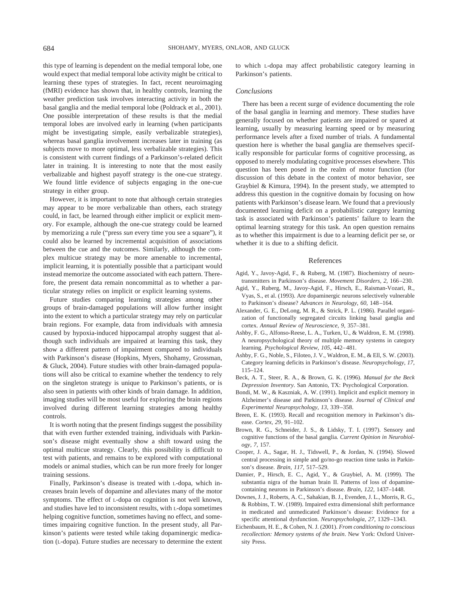this type of learning is dependent on the medial temporal lobe, one would expect that medial temporal lobe activity might be critical to learning these types of strategies. In fact, recent neuroimaging (fMRI) evidence has shown that, in healthy controls, learning the weather prediction task involves interacting activity in both the basal ganglia and the medial temporal lobe (Poldrack et al., 2001). One possible interpretation of these results is that the medial temporal lobes are involved early in learning (when participants might be investigating simple, easily verbalizable strategies), whereas basal ganglia involvement increases later in training (as subjects move to more optimal, less verbalizable strategies). This is consistent with current findings of a Parkinson's-related deficit later in training. It is interesting to note that the most easily verbalizable and highest payoff strategy is the one-cue strategy. We found little evidence of subjects engaging in the one-cue strategy in either group.

However, it is important to note that although certain strategies may appear to be more verbalizable than others, each strategy could, in fact, be learned through either implicit or explicit memory. For example, although the one-cue strategy could be learned by memorizing a rule ("press *sun* every time you see a square"), it could also be learned by incremental acquisition of associations between the cue and the outcomes. Similarly, although the complex multicue strategy may be more amenable to incremental, implicit learning, it is potentially possible that a participant would instead memorize the outcome associated with each pattern. Therefore, the present data remain noncommittal as to whether a particular strategy relies on implicit or explicit learning systems.

Future studies comparing learning strategies among other groups of brain-damaged populations will allow further insight into the extent to which a particular strategy may rely on particular brain regions. For example, data from individuals with amnesia caused by hypoxia-induced hippocampal atrophy suggest that although such individuals are impaired at learning this task, they show a different pattern of impairment compared to individuals with Parkinson's disease (Hopkins, Myers, Shohamy, Grossman, & Gluck, 2004). Future studies with other brain-damaged populations will also be critical to examine whether the tendency to rely on the singleton strategy is unique to Parkinson's patients, or is also seen in patients with other kinds of brain damage. In addition, imaging studies will be most useful for exploring the brain regions involved during different learning strategies among healthy controls.

It is worth noting that the present findings suggest the possibility that with even further extended training, individuals with Parkinson's disease might eventually show a shift toward using the optimal multicue strategy. Clearly, this possibility is difficult to test with patients, and remains to be explored with computational models or animal studies, which can be run more freely for longer training sessions.

Finally, Parkinson's disease is treated with L-dopa, which increases brain levels of dopamine and alleviates many of the motor symptoms. The effect of L-dopa on cognition is not well known, and studies have led to inconsistent results, with L-dopa sometimes helping cognitive function, sometimes having no effect, and sometimes impairing cognitive function. In the present study, all Parkinson's patients were tested while taking dopaminergic medication (L-dopa). Future studies are necessary to determine the extent to which L-dopa may affect probabilistic category learning in Parkinson's patients.

#### *Conclusions*

There has been a recent surge of evidence documenting the role of the basal ganglia in learning and memory. These studies have generally focused on whether patients are impaired or spared at learning, usually by measuring learning speed or by measuring performance levels after a fixed number of trials. A fundamental question here is whether the basal ganglia are themselves specifically responsible for particular forms of cognitive processing, as opposed to merely modulating cognitive processes elsewhere. This question has been posed in the realm of motor function (for discussion of this debate in the context of motor behavior, see Graybiel & Kimura, 1994). In the present study, we attempted to address this question in the cognitive domain by focusing on how patients with Parkinson's disease learn. We found that a previously documented learning deficit on a probabilistic category learning task is associated with Parkinson's patients' failure to learn the optimal learning strategy for this task. An open question remains as to whether this impairment is due to a learning deficit per se, or whether it is due to a shifting deficit.

# References

- Agid, Y., Javoy-Agid, F., & Ruberg, M. (1987). Biochemistry of neurotransmitters in Parkinson's disease. *Movement Disorders, 2,* 166–230.
- Agid, Y., Ruberg, M., Javoy-Agid, F., Hirsch, E., Raisman-Vozari, R., Vyas, S., et al. (1993). Are dopaminergic neurons selectively vulnerable to Parkinson's disease? *Advances in Neurology, 60,* 148–164.
- Alexander, G. E., DeLong, M. R., & Strick, P. L. (1986). Parallel organization of functionally segregated circuits linking basal ganglia and cortex. *Annual Review of Neuroscience, 9,* 357–381.
- Ashby, F. G., Alfonso-Reese, L. A., Turken, U., & Waldron, E. M. (1998). A neuropsychological theory of multiple memory systems in category learning. *Psychological Review, 105,* 442–481.
- Ashby, F. G., Noble, S., Filoteo, J. V., Waldron, E. M., & Ell, S. W. (2003). Category learning deficits in Parkinson's disease. *Neuropsychology, 17,* 115–124.
- Beck, A. T., Steer, R. A., & Brown, G. K. (1996). *Manual for the Beck Depression Inventory*. San Antonio, TX: Psychological Corporation.
- Bondi, M. W., & Kaszniak, A. W. (1991). Implicit and explicit memory in Alzheimer's disease and Parkinson's disease. *Journal of Clinical and Experimental Neuropsychology, 13,* 339–358.
- Breen, E. K. (1993). Recall and recognition memory in Parkinson's disease. *Cortex, 29,* 91–102.
- Brown, R. G., Schneider, J. S., & Lidsky, T. I. (1997). Sensory and cognitive functions of the basal ganglia*. Current Opinion in Neurobiology, 7,* 157.
- Cooper, J. A., Sagar, H. J., Tidswell, P., & Jordan, N. (1994). Slowed central processing in simple and go/no-go reaction time tasks in Parkinson's disease. *Brain, 117,* 517–529.
- Damier, P., Hirsch, E. C., Agid, Y., & Graybiel, A. M. (1999). The substantia nigra of the human brain II. Patterns of loss of dopaminecontaining neurons in Parkinson's disease. *Brain, 122,* 1437–1448.
- Downes, J. J., Roberts, A. C., Sahakian, B. J., Evenden, J. L., Morris, R. G., & Robbins, T. W. (1989). Impaired extra dimensional shift performance in medicated and unmedicated Parkinson's disease: Evidence for a specific attentional dysfunction. *Neuropsychologia, 27,* 1329–1343.
- Eichenbaum, H. E., & Cohen, N. J. (2001). *From conditioning to conscious recollection: Memory systems of the brain*. New York: Oxford University Press.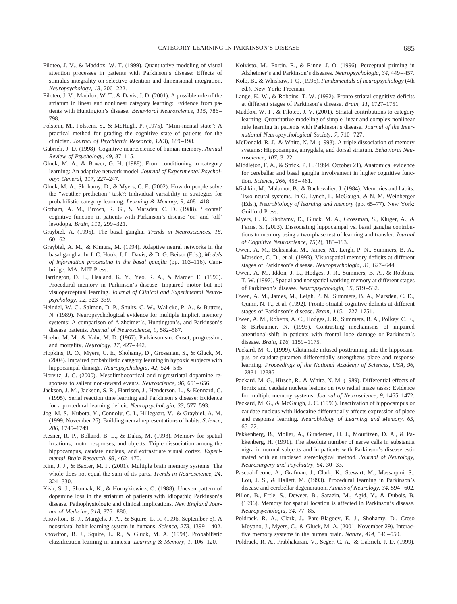- Filoteo, J. V., & Maddox, W. T. (1999). Quantitative modeling of visual attention processes in patients with Parkinson's disease: Effects of stimulus integrality on selective attention and dimensional integration. *Neuropsychology, 13,* 206–222.
- Filoteo, J. V., Maddox, W. T., & Davis, J. D. (2001). A possible role of the striatum in linear and nonlinear category learning: Evidence from patients with Huntington's disease. *Behavioral Neuroscience, 115,* 786– 798.
- Folstein, M., Folstein, S., & McHugh, P. (1975). "Mini-mental state": A practical method for grading the cognitive state of patients for the clinician. *Journal of Psychiatric Research, 12*(3), 189–198.
- Gabrieli, J. D. (1998). Cognitive neuroscience of human memory. *Annual Review of Psychology, 49,* 87–115.
- Gluck, M. A., & Bower, G. H. (1988). From conditioning to category learning: An adaptive network model. *Journal of Experimental Psychology: General, 117,* 227–247.
- Gluck, M. A., Shohamy, D., & Myers, C. E. (2002). How do people solve the "weather prediction" task?: Individual variability in strategies for probabilistic category learning*. Learning & Memory, 9,* 408–418.
- Gotham, A. M., Brown, R. G., & Marsden, C. D. (1988). 'Frontal' cognitive function in patients with Parkinson's disease 'on' and 'off' levodopa. *Brain, 111,* 299–321.
- Graybiel, A. (1995). The basal ganglia. *Trends in Neurosciences, 18*,  $60 - 62.$
- Graybiel, A. M., & Kimura, M. (1994). Adaptive neural networks in the basal ganglia. In J. C. Houk, J. L. Davis, & D. G. Beiser (Eds.), *Models of information processing in the basal ganglia* (pp. 103–116). Cambridge, MA: MIT Press.
- Harrington, D. L., Haaland, K. Y., Yeo, R. A., & Marder, E. (1990). Procedural memory in Parkinson's disease: Impaired motor but not visuoperceptual learning. *Journal of Clinical and Experimental Neuropsychology, 12,* 323–339.
- Heindel, W. C., Salmon, D. P., Shults, C. W., Walicke, P. A., & Butters, N. (1989). Neuropsychological evidence for multiple implicit memory systems: A comparison of Alzheimer's, Huntington's, and Parkinson's disease patients. *Journal of Neuroscience, 9,* 582–587.
- Hoehn, M. M., & Yahr, M. D. (1967). Parkinsonism: Onset, progression, and mortality. *Neurology, 17,* 427–442.
- Hopkins, R. O., Myers, C. E., Shohamy, D., Grossman, S., & Gluck, M. (2004). Impaired probabilistic category learning in hypoxic subjects with hippocampal damage. *Neuropsychologia, 42,* 524–535.
- Horvitz, J. C. (2000). Mesolimbocortical and nigrostriatal dopamine responses to salient non-reward events. *Neuroscience, 96,* 651–656.
- Jackson, J. M., Jackson, S. R., Harrison, J., Henderson, L., & Kennard, C. (1995). Serial reaction time learning and Parkinson's disease: Evidence for a procedural learning deficit. *Neuropsychologia, 33,* 577–593.
- Jog, M. S., Kubota, Y., Connoly, C. I., Hillegaart, V., & Graybiel, A. M. (1999, November 26). Building neural representations of habits. *Science, 286,* 1745–1749.
- Kesner, R. P., Bolland, B. L., & Dakis, M. (1993). Memory for spatial locations, motor responses, and objects: Triple dissociation among the hippocampus, caudate nucleus, and extrastriate visual cortex. *Experimental Brain Research, 93,* 462–470.
- Kim, J. J., & Baxter, M. F. (2001). Multiple brain memory systems: The whole does not equal the sum of its parts. *Trends in Neuroscience, 24,* 324–330.
- Kish, S. J., Shannak, K., & Hornykiewicz, O. (1988). Uneven pattern of dopamine loss in the striatum of patients with idiopathic Parkinson's disease. Pathophysiologic and clinical implications. *New England Journal of Medicine, 318,* 876–880.
- Knowlton, B. J., Mangels, J. A., & Squire, L. R. (1996, September 6). A neostriatal habit learning system in humans. *Science, 273,* 1399–1402.
- Knowlton, B. J., Squire, L. R., & Gluck, M. A. (1994). Probabilistic classification learning in amnesia. *Learning & Memory, 1,* 106–120.
- Koivisto, M., Portin, R., & Rinne, J. O. (1996). Perceptual priming in Alzheimer's and Parkinson's diseases. *Neuropsychologia, 34,* 449–457.
- Kolb, B., & Whishaw, I. Q. (1995). *Fundamentals of neuropsychology* (4th ed.). New York: Freeman.
- Lange, K. W., & Robbins, T. W. (1992). Fronto-striatal cognitive deficits at different stages of Parkinson's disease. *Brain, 11,* 1727–1751.
- Maddox, W. T., & Filoteo, J. V. (2001). Striatal contributions to category learning: Quantitative modeling of simple linear and complex nonlinear rule learning in patients with Parkinson's disease. *Journal of the International Neuropsychological Society, 7,* 710–727.
- McDonald, R. J., & White, N. M. (1993). A triple dissociation of memory systems: Hippocampus, amygdala, and dorsal striatum. *Behavioral Neuroscience, 107,* 3–22.
- Middleton, F. A., & Strick, P. L. (1994, October 21). Anatomical evidence for cerebellar and basal ganglia involvement in higher cognitive function. *Science, 266,* 458–461.
- Mishkin, M., Malamut, B., & Bachevalier, J. (1984). Memories and habits: Two neural systems. In G. Lynch, L. McGaugh, & N. M. Weinberger (Eds.), *Neurobiology of learning and memory* (pp. 65–77). New York: Guilford Press.
- Myers, C. E., Shohamy, D., Gluck, M. A., Grossman, S., Kluger, A., & Ferris, S. (2003). Dissociating hippocampal vs. basal ganglia contributions to memory using a two-phase test of learning and transfer. *Journal of Cognitive Neuroscience, 15*(2), 185–193.
- Owen, A. M., Beksinska, M., James, M., Leigh, P. N., Summers, B. A., Marsden, C. D., et al. (1993). Visuospatial memory deficits at different stages of Parkinson's disease. *Neuropsychologia, 31,* 627–644.
- Owen, A. M., Iddon, J. L., Hodges, J. R., Summers, B. A., & Robbins, T. W. (1997). Spatial and nonspatial working memory at different stages of Parkinson's disease. *Neuropsychologia, 35,* 519–532.
- Owen, A. M., James, M., Leigh, P. N., Summers, B. A., Marsden, C. D., Quinn, N. P., et al. (1992). Fronto-striatal cognitive deficits at different stages of Parkinson's disease. *Brain, 115,* 1727–1751.
- Owen, A. M., Roberts, A. C., Hodges, J. R., Summers, B. A., Polkey, C. E., & Birbaumer, N. (1993). Contrasting mechanisms of impaired attentional-shift in patients with frontal lobe damage or Parkinson's disease. *Brain, 116,* 1159–1175.
- Packard, M. G. (1999). Glutamate infused posttraining into the hippocampus or caudate-putamen differentially strengthens place and response learning. *Proceedings of the National Academy of Sciences, USA, 96,* 12881–12886.
- Packard, M. G., Hirsch, R., & White, N. M. (1989). Differential effects of fornix and caudate nucleus lesions on two radial maze tasks: Evidence for multiple memory systems. *Journal of Neuroscience, 9,* 1465–1472.
- Packard, M. G., & McGaugh, J. C. (1996). Inactivation of hippocampus or caudate nucleus with lidocaine differentially affects expression of place and response learning. *Neurobiology of Learning and Memory, 65,* 65–72.
- Pakkenberg, B., Moller, A., Gundersen, H. J., Mouritzen, D. A., & Pakkenberg, H. (1991). The absolute number of nerve cells in substantia nigra in normal subjects and in patients with Parkinson's disease estimated with an unbiased stereological method. *Journal of Neurology, Neurosurgery and Psychiatry, 54,* 30–33.
- Pascual-Leone, A., Grafman, J., Clark, K., Stewart, M., Massaquoi, S., Lou, J. S., & Hallett, M. (1993). Procedural learning in Parkinson's disease and cerebellar degeneration. *Annals of Neurology, 34,* 594–602.
- Pillon, B., Ertle, S., Deweer, B., Sarazin, M., Agid, Y., & Dubois, B. (1996). Memory for spatial location is affected in Parkinson's disease. *Neuropsychologia, 34,* 77–85.
- Poldrack, R. A., Clark, J., Pare-Blagoev, E. J., Shohamy, D., Creso Moyano, J., Myers, C., & Gluck, M. A. (2001, November 29). Interactive memory systems in the human brain. *Nature, 414,* 546–550.
- Poldrack, R. A., Prabhakaran, V., Seger, C. A., & Gabrieli, J. D. (1999).